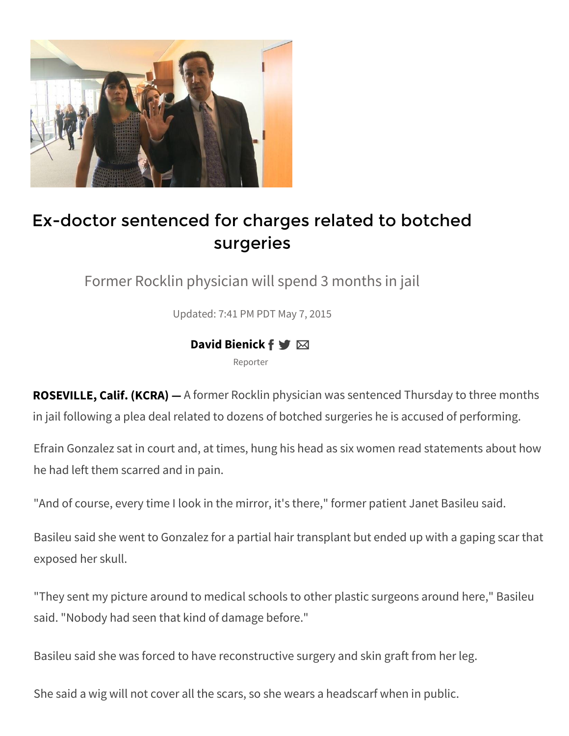

## Ex-doctor sentenced for charges related to botched surgeries

Former Rocklin physician will spend 3 months in jail

Updated: 7:41 PM PDT May 7, 2015

## **David Bienick f ♥ ⊠**

Reporter

**ROSEVILLE, Calif. (KCRA) —** A former Rocklin physician was sentenced Thursday to three months in jail following a plea deal related to dozens of botched surgeries he is accused of performing.

Efrain Gonzalez sat in court and, at times, hung his head as six women read statements about how he had left them scarred and in pain.

"And of course, every time I look in the mirror, it's there," former patient Janet Basileu said.

Basileu said she went to Gonzalez for a partial hair transplant but ended up with a gaping scar that exposed her skull.

"They sent my picture around to medical schools to other plastic surgeons around here," Basileu said. "Nobody had seen that kind of damage before."

Basileu said she was forced to have reconstructive surgery and skin graft from her leg.

She said a wig will not cover all the scars, so she wears a headscarf when in public.